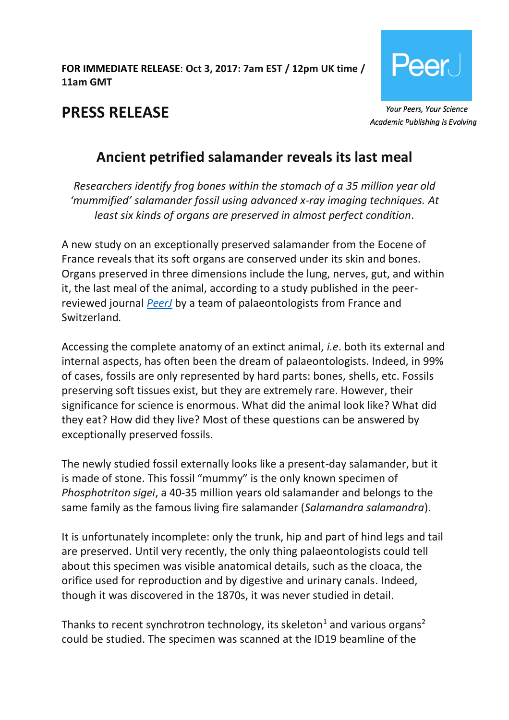### **FOR IMMEDIATE RELEASE**: **Oct 3, 2017: 7am EST / 12pm UK time / 11am GMT**



**PRESS RELEASE**

# **Academic Publishing is Evolving**

# **Ancient petrified salamander reveals its last meal**

*Researchers identify frog bones within the stomach of a 35 million year old 'mummified' salamander fossil using advanced x-ray imaging techniques. At least six kinds of organs are preserved in almost perfect condition.*

A new study on an exceptionally preserved salamander from the Eocene of France reveals that its soft organs are conserved under its skin and bones. Organs preserved in three dimensions include the lung, nerves, gut, and within it, the last meal of the animal, according to a study published in the peerreviewed journal *[PeerJ](https://peerj.com/articles/3861)* by a team of palaeontologists from France and Switzerland*.*

Accessing the complete anatomy of an extinct animal, *i.e*. both its external and internal aspects, has often been the dream of palaeontologists. Indeed, in 99% of cases, fossils are only represented by hard parts: bones, shells, etc. Fossils preserving soft tissues exist, but they are extremely rare. However, their significance for science is enormous. What did the animal look like? What did they eat? How did they live? Most of these questions can be answered by exceptionally preserved fossils.

The newly studied fossil externally looks like a present-day salamander, but it is made of stone. This fossil "mummy" is the only known specimen of *Phosphotriton sigei*, a 40-35 million years old salamander and belongs to the same family as the famous living fire salamander (*Salamandra salamandra*).

It is unfortunately incomplete: only the trunk, hip and part of hind legs and tail are preserved. Until very recently, the only thing palaeontologists could tell about this specimen was visible anatomical details, such as the cloaca, the orifice used for reproduction and by digestive and urinary canals. Indeed, though it was discovered in the 1870s, it was never studied in detail.

Thanks to recent synchrotron technology, its skeleton<sup>1</sup> and various organs<sup>2</sup> could be studied. The specimen was scanned at the ID19 beamline of the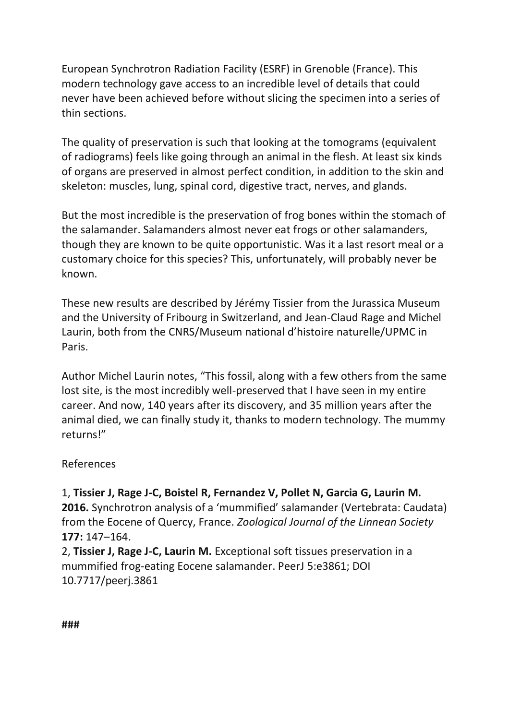European Synchrotron Radiation Facility (ESRF) in Grenoble (France). This modern technology gave access to an incredible level of details that could never have been achieved before without slicing the specimen into a series of thin sections.

The quality of preservation is such that looking at the tomograms (equivalent of radiograms) feels like going through an animal in the flesh. At least six kinds of organs are preserved in almost perfect condition, in addition to the skin and skeleton: muscles, lung, spinal cord, digestive tract, nerves, and glands.

But the most incredible is the preservation of frog bones within the stomach of the salamander. Salamanders almost never eat frogs or other salamanders, though they are known to be quite opportunistic. Was it a last resort meal or a customary choice for this species? This, unfortunately, will probably never be known.

These new results are described by Jérémy Tissier from the Jurassica Museum and the University of Fribourg in Switzerland, and Jean-Claud Rage and Michel Laurin, both from the CNRS/Museum national d'histoire naturelle/UPMC in Paris.

Author Michel Laurin notes, "This fossil, along with a few others from the same lost site, is the most incredibly well-preserved that I have seen in my entire career. And now, 140 years after its discovery, and 35 million years after the animal died, we can finally study it, thanks to modern technology. The mummy returns!"

#### References

1, **Tissier J, Rage J-C, Boistel R, Fernandez V, Pollet N, Garcia G, Laurin M. 2016.** Synchrotron analysis of a 'mummified' salamander (Vertebrata: Caudata) from the Eocene of Quercy, France. *Zoological Journal of the Linnean Society* **177:** 147–164.

2, **Tissier J, Rage J-C, Laurin M.** Exceptional soft tissues preservation in a mummified frog-eating Eocene salamander. PeerJ 5:e3861; DOI 10.7717/peerj.3861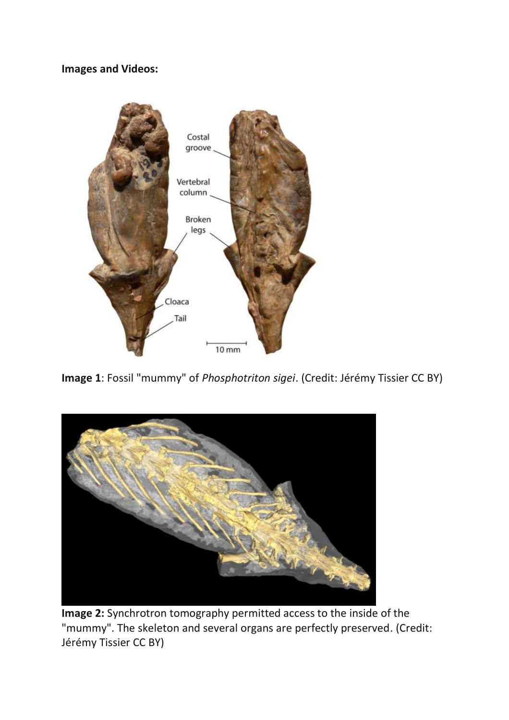**Images and Videos:**



**Image 1**: Fossil "mummy" of *Phosphotriton sigei*. (Credit: Jérémy Tissier CC BY)



**Image 2:** Synchrotron tomography permitted access to the inside of the "mummy". The skeleton and several organs are perfectly preserved. (Credit: Jérémy Tissier CC BY)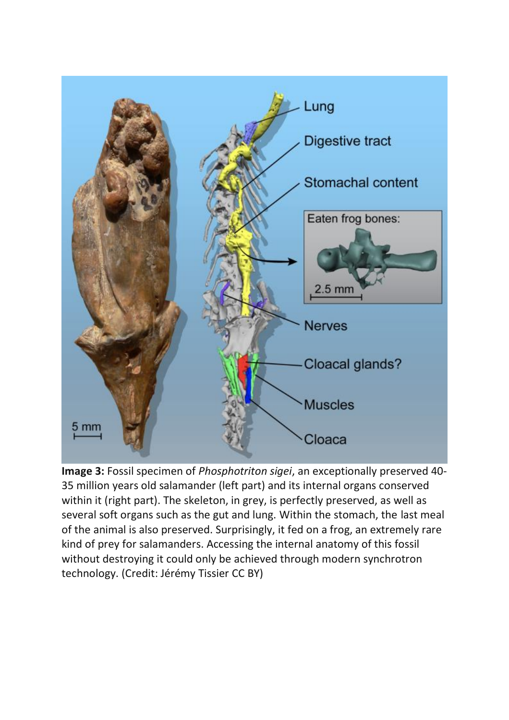

**Image 3:** Fossil specimen of *Phosphotriton sigei*, an exceptionally preserved 40- 35 million years old salamander (left part) and its internal organs conserved within it (right part). The skeleton, in grey, is perfectly preserved, as well as several soft organs such as the gut and lung. Within the stomach, the last meal of the animal is also preserved. Surprisingly, it fed on a frog, an extremely rare kind of prey for salamanders. Accessing the internal anatomy of this fossil without destroying it could only be achieved through modern synchrotron technology. (Credit: Jérémy Tissier CC BY)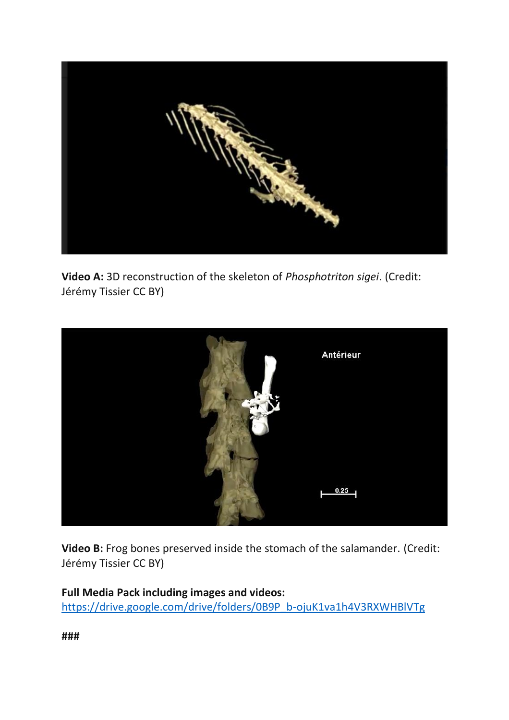

**Video A:** 3D reconstruction of the skeleton of *Phosphotriton sigei*. (Credit: Jérémy Tissier CC BY)



Video B: Frog bones preserved inside the stomach of the salamander. (Credit: Jérémy Tissier CC BY)

**Full Media Pack including images and videos:**  [https://drive.google.com/drive/folders/0B9P\\_b-ojuK1va1h4V3RXWHBlVTg](https://drive.google.com/drive/folders/0B9P_b-ojuK1va1h4V3RXWHBlVTg)

**###**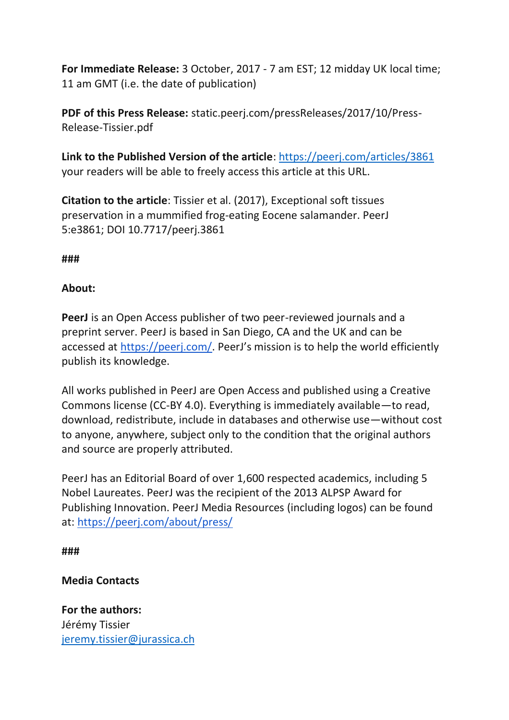**For Immediate Release:** 3 October, 2017 - 7 am EST; 12 midday UK local time; 11 am GMT (i.e. the date of publication)

**PDF of this Press Release:** static.peerj.com/pressReleases/2017/10/Press-Release-Tissier.pdf

**Link to the Published Version of the article**:<https://peerj.com/articles/3861> your readers will be able to freely access this article at this URL.

**Citation to the article**: Tissier et al. (2017), Exceptional soft tissues preservation in a mummified frog-eating Eocene salamander. PeerJ 5:e3861; DOI 10.7717/peerj.3861

**###**

### **About:**

**PeerJ** is an Open Access publisher of two peer-reviewed journals and a preprint server. PeerJ is based in San Diego, CA and the UK and can be accessed at [https://peerj.com/.](https://peerj.com/) PeerJ's mission is to help the world efficiently publish its knowledge.

All works published in PeerJ are Open Access and published using a Creative Commons license (CC-BY 4.0). Everything is immediately available—to read, download, redistribute, include in databases and otherwise use—without cost to anyone, anywhere, subject only to the condition that the original authors and source are properly attributed.

PeerJ has an Editorial Board of over 1,600 respected academics, including 5 Nobel Laureates. PeerJ was the recipient of the 2013 ALPSP Award for Publishing Innovation. PeerJ Media Resources (including logos) can be found at: <https://peerj.com/about/press/>

**###**

## **Media Contacts**

**For the authors:** Jérémy Tissier [jeremy.tissier@jurassica.ch](mailto:jeremy.tissier@jurassica.ch)